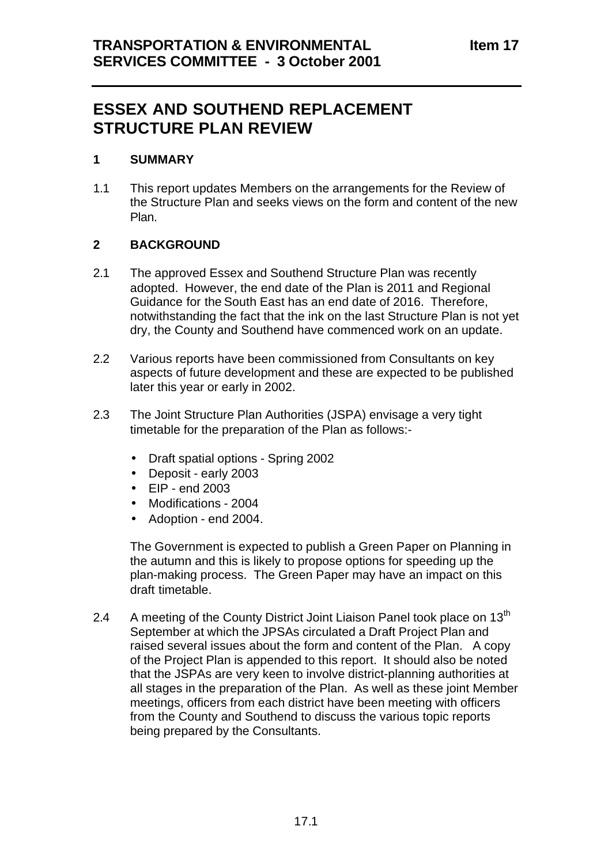# **ESSEX AND SOUTHEND REPLACEMENT STRUCTURE PLAN REVIEW**

## **1 SUMMARY**

1.1 This report updates Members on the arrangements for the Review of the Structure Plan and seeks views on the form and content of the new Plan.

## **2 BACKGROUND**

- 2.1 The approved Essex and Southend Structure Plan was recently adopted. However, the end date of the Plan is 2011 and Regional Guidance for the South East has an end date of 2016. Therefore, notwithstanding the fact that the ink on the last Structure Plan is not yet dry, the County and Southend have commenced work on an update.
- 2.2 Various reports have been commissioned from Consultants on key aspects of future development and these are expected to be published later this year or early in 2002.
- 2.3 The Joint Structure Plan Authorities (JSPA) envisage a very tight timetable for the preparation of the Plan as follows:-
	- Draft spatial options Spring 2002
	- Deposit early 2003
	- EIP end 2003
	- Modifications 2004
	- Adoption end 2004.

The Government is expected to publish a Green Paper on Planning in the autumn and this is likely to propose options for speeding up the plan-making process. The Green Paper may have an impact on this draft timetable.

2.4 A meeting of the County District Joint Liaison Panel took place on 13<sup>th</sup> September at which the JPSAs circulated a Draft Project Plan and raised several issues about the form and content of the Plan. A copy of the Project Plan is appended to this report. It should also be noted that the JSPAs are very keen to involve district-planning authorities at all stages in the preparation of the Plan. As well as these joint Member meetings, officers from each district have been meeting with officers from the County and Southend to discuss the various topic reports being prepared by the Consultants.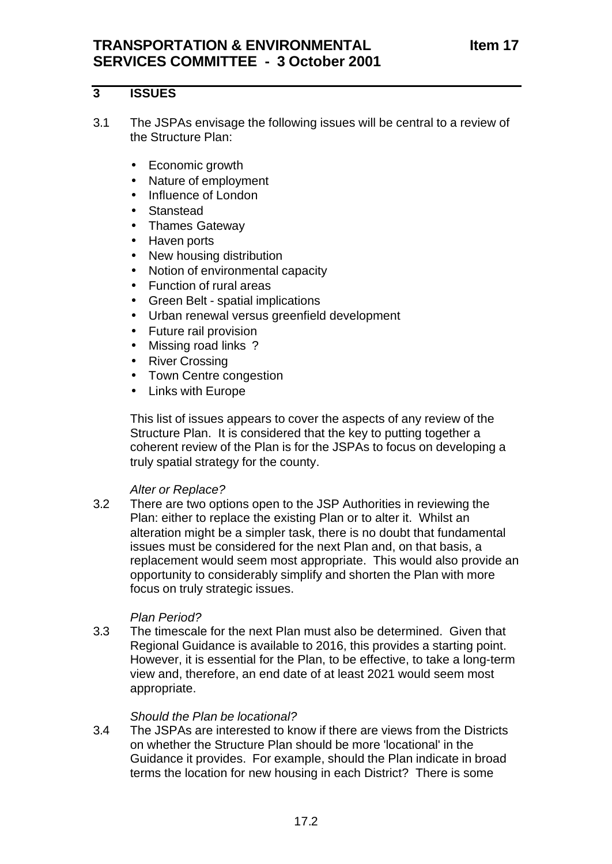## **3 ISSUES**

- 3.1 The JSPAs envisage the following issues will be central to a review of the Structure Plan:
	- Economic growth
	- Nature of employment
	- Influence of London
	- Stanstead
	- Thames Gateway
	- Haven ports
	- New housing distribution
	- Notion of environmental capacity
	- Function of rural areas
	- Green Belt spatial implications
	- Urban renewal versus greenfield development
	- Future rail provision
	- Missing road links ?
	- River Crossing
	- Town Centre congestion
	- Links with Europe

This list of issues appears to cover the aspects of any review of the Structure Plan. It is considered that the key to putting together a coherent review of the Plan is for the JSPAs to focus on developing a truly spatial strategy for the county.

## *Alter or Replace?*

3.2 There are two options open to the JSP Authorities in reviewing the Plan: either to replace the existing Plan or to alter it. Whilst an alteration might be a simpler task, there is no doubt that fundamental issues must be considered for the next Plan and, on that basis, a replacement would seem most appropriate. This would also provide an opportunity to considerably simplify and shorten the Plan with more focus on truly strategic issues.

## *Plan Period?*

3.3 The timescale for the next Plan must also be determined. Given that Regional Guidance is available to 2016, this provides a starting point. However, it is essential for the Plan, to be effective, to take a long-term view and, therefore, an end date of at least 2021 would seem most appropriate.

## *Should the Plan be locational?*

3.4 The JSPAs are interested to know if there are views from the Districts on whether the Structure Plan should be more 'locational' in the Guidance it provides. For example, should the Plan indicate in broad terms the location for new housing in each District? There is some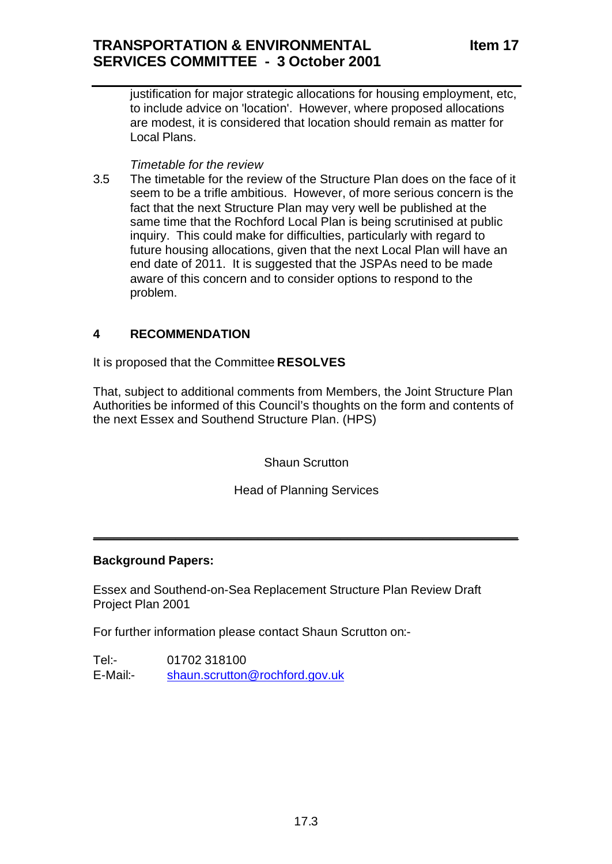# **TRANSPORTATION & ENVIRONMENTAL SERVICES COMMITTEE - 3 October 2001**

justification for major strategic allocations for housing employment, etc, to include advice on 'location'. However, where proposed allocations are modest, it is considered that location should remain as matter for Local Plans.

## *Timetable for the review*

3.5 The timetable for the review of the Structure Plan does on the face of it seem to be a trifle ambitious. However, of more serious concern is the fact that the next Structure Plan may very well be published at the same time that the Rochford Local Plan is being scrutinised at public inquiry. This could make for difficulties, particularly with regard to future housing allocations, given that the next Local Plan will have an end date of 2011. It is suggested that the JSPAs need to be made aware of this concern and to consider options to respond to the problem.

## **4 RECOMMENDATION**

It is proposed that the Committee **RESOLVES**

That, subject to additional comments from Members, the Joint Structure Plan Authorities be informed of this Council's thoughts on the form and contents of the next Essex and Southend Structure Plan. (HPS)

Shaun Scrutton

Head of Planning Services

\_\_\_\_\_\_\_\_\_\_\_\_\_\_\_\_\_\_\_\_\_\_\_\_\_\_\_\_\_\_\_\_\_\_\_\_\_\_\_\_\_\_\_\_\_\_\_\_\_\_\_\_\_\_\_\_\_\_\_\_\_\_

## **Background Papers:**

Essex and Southend-on-Sea Replacement Structure Plan Review Draft Project Plan 2001

For further information please contact Shaun Scrutton on:-

Tel:- 01702 318100 E-Mail:- shaun.scrutton@rochford.gov.uk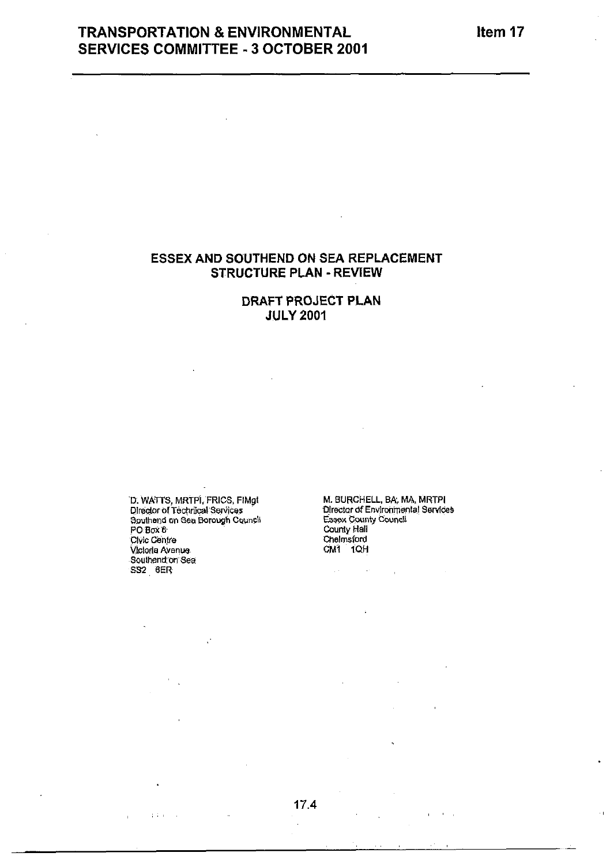# **TRANSPORTATION & ENVIRONMENTAL SERVICES COMMITTEE - 3 OCTOBER 2001**

## ESSEX AND SOUTHEND ON SEA REPLACEMENT **STRUCTURE PLAN - REVIEW**

## DRAFT PROJECT PLAN **JULY 2001**

D. WATTS, MRTPI, FRICS, FIMgt Director of Technical Services Southend on Sea Borough Council PO Box 6 Clvic Centre Victoria Avenue Southend on Sea

J.

 $\frac{1}{4}$  ,  $\frac{1}{4}$  ,  $\frac{1}{4}$ 

M. BURCHELL, BA, MA, MRTPI Director of Environmental Services Essex County Council County Hall Chelmsford CM1 IOH

> $\mathbf{u} = \mathbf{u}$  $\mathcal{L}$

 $\sim$ 

 $\bar{L}$  :

 $17.4$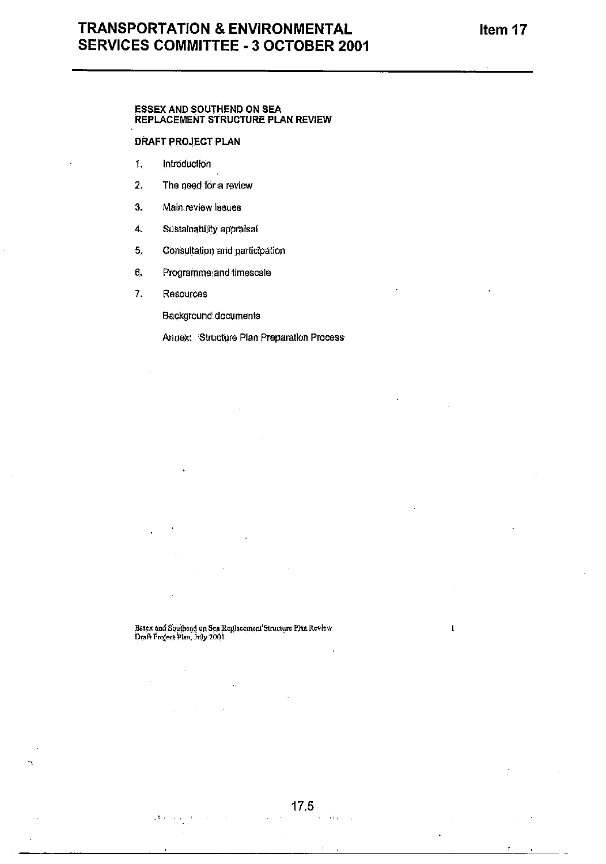#### **ESSEX AND SOUTHEND ON SEA** REPLACEMENT STRUCTURE PLAN REVIEW

#### DRAFT PROJECT PLAN

- 1. Introduction
- $2.$ The need for a review
- 3. Main review lasues
- 4. Sustainability appraisal
- 5. Consultation and participation
- 6, Programme and timescale
- $\overline{L}$ Resources

Background documents

Annex: Structure Plan Preparation Process

Besex and Southend on Sea Replacement Structure Plan Review<br>Draft Project Plan, July 2001

 $\hat{\alpha}$ 

plan and an

 $\mathbf{I}$ 

 $17.5$  $\hat{\phi}$  , and  $\hat{\phi}$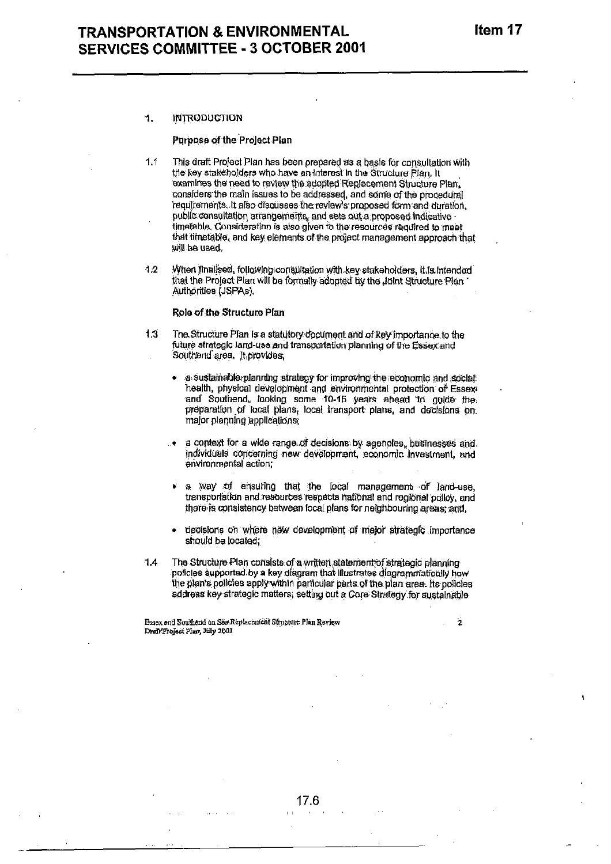#### **INTRODUCTION** 1.

#### Purpose of the Project Plan

- This draft Project Plan has been prepared as a basis for consultation with  $1.1$ the key stakeholders who have an interest in the Structure Plan. It examines the need to review the adopted Replacement Structure Plan. considers the main issues to be addressed, and some of the procedural requirements. It also discusses the review's proposed form and duration. public consultation arrangements, and sets out a proposed indicative timetable. Consideration is also given to the resources required to meet that timetable, and key elements of the project management approach that will be used.
- $4.2$ When finalised, following consultation with key stakeholders, it is intended that the Project Plan will be formally adopted by the Joint Structure Plan Authorities (JSPAs),

#### Role of the Structure Plan

- $1.3$ The Structure Plan is a statutory document and of key importance to the future strategic land-use and transportation planning of the Essex and Southend area. It provides.
	- a sustainable planning strategy for improving the economic and social. health, physical development and environmental protection of Essex and Southend, fooking some 10-15 years ahead to guide the preparation of local plans, local transport plans, and decisions on major planning applications;
	- a context for a wide range of decisions by agencies, businesses and. individuals concerning new development, economic investment, and environmental action:
	- a way of ensuring that the local management of land-use, transportation and resources respects national and regional policy, and there is consistency between local plans for neighbouring areas; and,
	- decisions on where new development of major strategic importance should be located.
- The Structure Plan consists of a written statement of strategic planning  $1.4$ policles supported by a key diagram that illustrates diagrammatically how the plan's policies apply within particular parts of the plan area. Its policies address key strategic matters, setting out a Core Strategy for sustainable

Essex and Southerid on Sex Replacement Structure Plan Review Draft Project Plan, July 2001

ż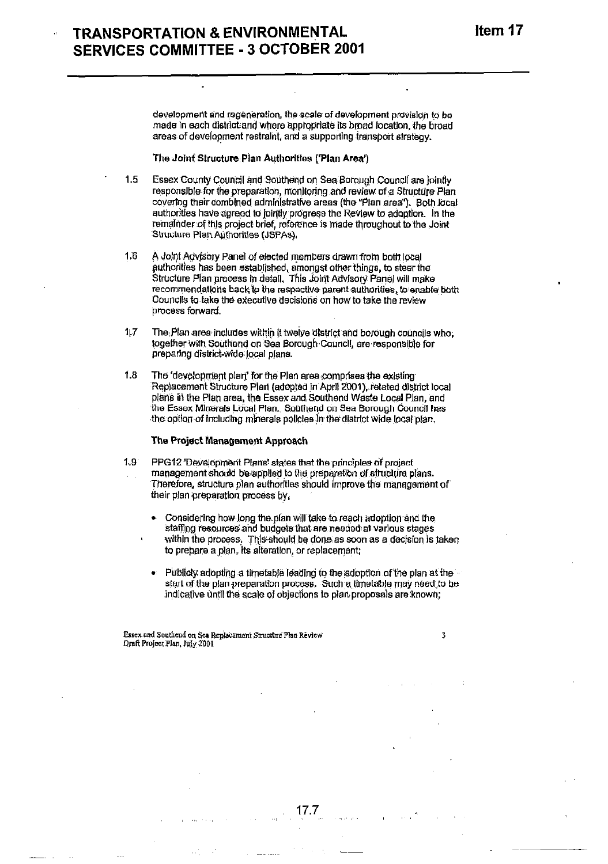$\ddot{\phantom{a}}$ 

development and regeneration, the scale of development provision to be made in each district and where appropriate its broad location, the broad areas of development restraint, and a supporting transport strategy.

#### The Joint Structure Plan Authorities ('Plan Area')

- $1.5$ Essex County Council and Southend on Sea Borough Council are jointly responsible for the preparation, monitoring and review of a Structure Plan covering their combined administrative areas (the "Plan area"). Both local authorities have agreed to jointly progress the Review to adoption. In the remainder of this project brief, reference is made throughout to the Joint Structure Plan Authorities (JSPAs).
- $1.6$ A Joint Advisory Panel of elected members drawn from both local authorities has been established, amongst other things, to steer the Structure Plan process in detail. This Joint Advisory Panel will make recommendations back to the respective parent authorities, to enable both Councils to take the executive decisions on how to take the review process forward.
- The Plan area includes within it twelve district and borough councils who;  $17$ together with Southend on Sea Borough Council, are responsible for preparing district-wide local plans.
- $1.8$ The 'development plan' for the Plan area comprises the existing Replacement Structure Plan (adopted in April 2001), related district local plans in the Plan area, the Essex and Southend Waste Local Plan, and the Essex Minerals Local Plan. Southend on Sea Borough Council has the option of including minerals policies in the district wide local plan.

#### The Project Management Approach

- 1.9 PPG12 "Development Plans' states that the principles of project management should be applied to the preparation of structure plans. Therefore, structure plan authorities should improve the management of their plan preparation process by.
	- Considering how long the plan will take to reach adoption and the staffing resources and budgets that are needed at various stages within the process. This should be done as soon as a decision is taken to prebare a plan, its alteration, or replacement;
	- Publicly adopting a timetable leading to the adoption of the plan at the  $\bullet$ start of the plan preparation process. Such a timetable may need to be indicative until the scale of objections to plan proposals are known:

17.7

Essex and Southend on Sea Replacement Structure Plan Review Draft Project Plan, July 2001

 $\overline{3}$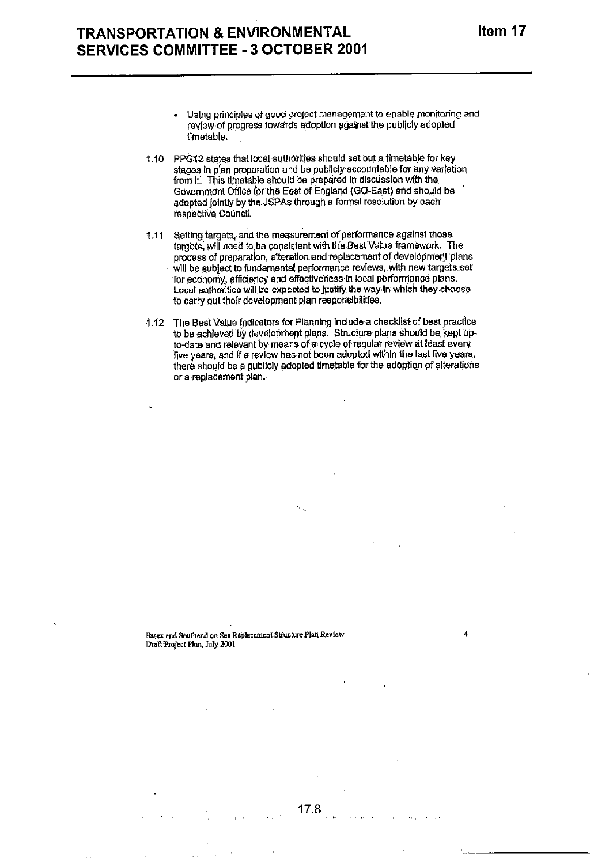- 
- Using principles of good project management to enable monitoring and review of progress towards adoption against the publicly adopted timetable.
- PPG12 states that local authorities should set out a timetable for key  $1.10$ stages in plan preparation and be publicly accountable for any variation from it. This timetable should be prepared in discussion with the Government Office for the East of England (GO-East) and should be adopted fointly by the JSPAs through a formal resolution by each respective Council.
- 1.11 Setting targets, and the measurement of performance against those targets, will need to be consistent with the Best Value framework. The process of preparation, afteration and replacement of development plans. will be subject to fundamental performance reviews, with new targets set for economy, efficiency and effectiveness in local performance plans. Local authorities will be expected to lustify the way in which they choose to carry out their development plan responsibilities.
- 1.12 The Best Value Indicators for Planning include a checklist of best practice to be achieved by development plans. Structure plans should be kept upto-date and relevant by means of a cycle of regular review at least every five years, and if a review has not been adopted within the last five years, there should be a publicly adopted timetable for the adoption of alterations or a replacement plan.

Exsex and Southend on Sea Replacement Structure Plan Review Draft Project Plan, July 2001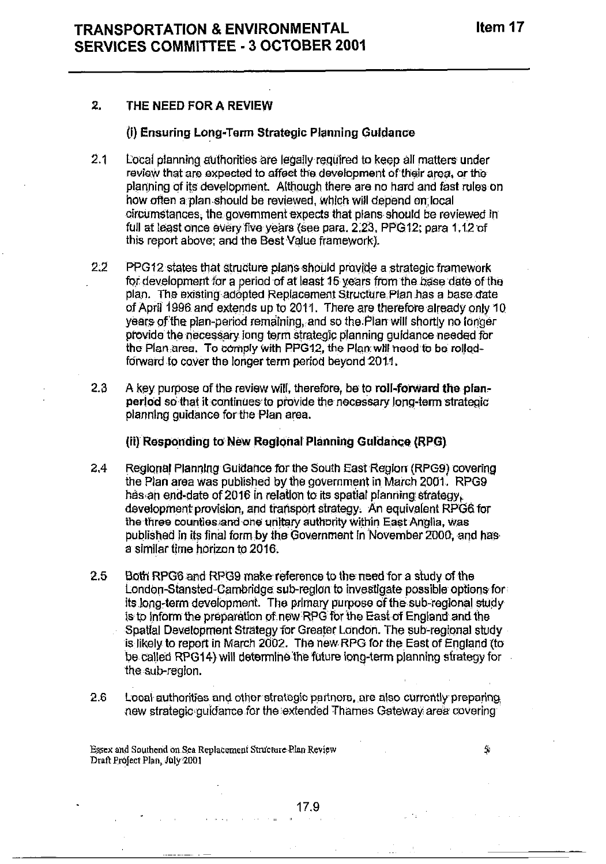#### $2<sub>1</sub>$ THE NEED FOR A REVIEW

#### (i) Ensuring Long-Term Strategic Planning Guidance

- $2.1$ Local planning authorities are legally required to keep all matters under review that are expected to affect the development of their area, or the planning of its development. Although there are no hard and fast rules on how often a plan should be reviewed, which will depend on local circumstances, the government expects that plans should be reviewed in full at least once every five years (see para, 2,23, PPG12; para 1,12 of this report above; and the Best Value framework).
- $2.2$ PPG12 states that structure plans should provide a strategic framework for development for a period of at least 15 years from the base date of the plan. The existing adopted Replacement Structure Plan has a base date of April 1996 and extends up to 2011. There are therefore already only 10 years of the plan-period remaining, and so the Plan will shortly no longer provide the necessary long term strategic planning guidance needed for the Plan area. To comply with PPG12, the Plan will need to be rolledforward to cover the longer term period beyond 2011.
- $2.3$ A key purpose of the review will, therefore, be to roll-forward the planperiod so that it continues to provide the necessary long-term strategic planning guidance for the Plan area.

#### (ii) Responding to New Regional Planning Guidance (RPG)

- Regional Planning Guidance for the South East Region (RPG9) covering  $2.4$ the Plan area was published by the government in March 2001. RPG9 has an end-date of 2016 in relation to its spatial planning strategy. development provision, and transport strategy. An equivalent RPG6 for the three counties and one unitary authority within East Anglia, was published in its final form by the Government in November 2000, and has a similar time horizon to 2016.
- 2.5 Both RPG6 and RPG9 make reference to the rieed for a study of the London-Stansted-Cambridge sub-region to investigate possible options for its long-term development. The primary purpose of the sub-regional study is to inform the preparation of new RPG for the East of England and the Spatial Development Strategy for Greater London. The sub-regional study is likely to report in March 2002. The new RPG for the East of England (to be called RPG14) will determine the future long-term planning strategy for the sub-region.
- $2.6$ Local authorities and other strategic partners, are also currently preparing new strategic quidance for the extended Thames Gateway area covering

Essex and Southend on Sea Replacement Structure Plan Review Draft Profect Plan, July 2001

 $\tilde{\mathbf{y}}$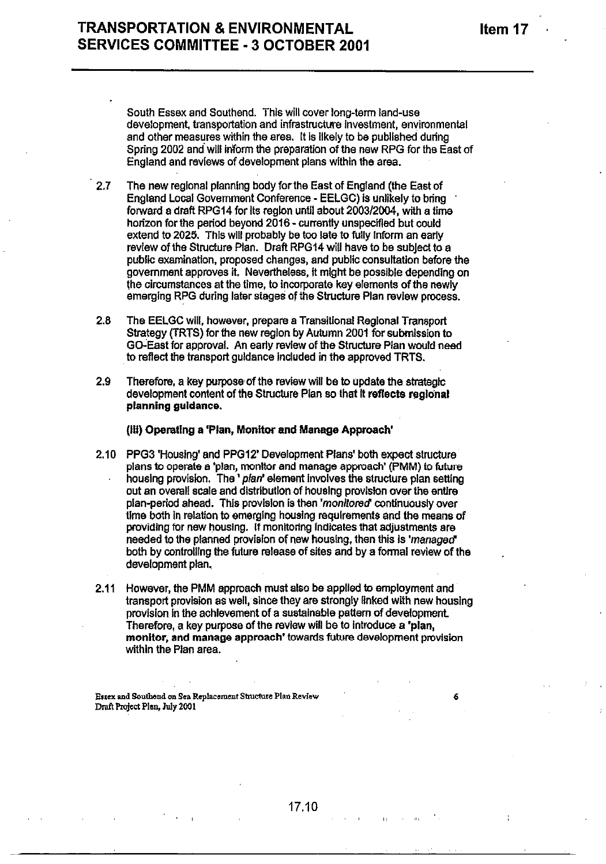South Essex and Southend. This will cover long-term land-use development, transportation and infrastructure investment, environmental and other measures within the area. It is likely to be published during Spring 2002 and will inform the preparation of the new RPG for the East of England and reviews of development plans within the area.

- $2.7$ The new regional planning body for the East of England (the East of England Local Government Conference - EELGC) is unlikely to bring forward a draft RPG14 for its region until about 2003/2004, with a time horizon for the period beyond 2016 - currently unspecified but could extend to 2025. This will probably be too late to fully inform an early review of the Structure Plan. Draft RPG14 will have to be sublect to a public examination, proposed changes, and public consultation before the government approves it. Nevertheless, it might be possible depending on the circumstances at the time, to incorporate key elements of the newly emerging RPG during later stages of the Structure Plan review process.
- $2.8$ The EELGC will, however, prepare a Transitional Regional Transport Strategy (TRTS) for the new region by Autumn 2001 for submission to GO-East for approval. An early review of the Structure Plan would need to reflect the transport guidance included in the approved TRTS.
- $2.9$ Therefore, a key purpose of the review will be to update the strategic development content of the Structure Plan so that it reflects regional planning guidance.

(iii) Operating a 'Plan. Monitor and Manage Approach'

- 2.10 PPG3 'Housing' and PPG12' Development Plans' both expect structure plans to operate a 'plan, monitor and manage approach' (PMM) to future housing provision. The ' plan' element involves the structure plan setting out an overall scale and distribution of housing provision over the entire plan-period ahead. This provision is then 'monitored' continuously over time both in relation to emerging housing requirements and the means of providing for new housing. If monitoring indicates that adjustments are needed to the planned provision of new housing, then this is 'managed' both by controlling the future release of sites and by a formal review of the development plan.
- 2.11 However, the PMM approach must also be applied to employment and transport provision as well, since they are strongly linked with new housing provision in the achievement of a sustainable pattern of development. Therefore, a key purpose of the review will be to introduce a 'plan. monitor, and manage approach' towards future development provision within the Plan area.

Essex and Southend on Sea Replacement Structure Plan Review Draft Project Plan, July 2001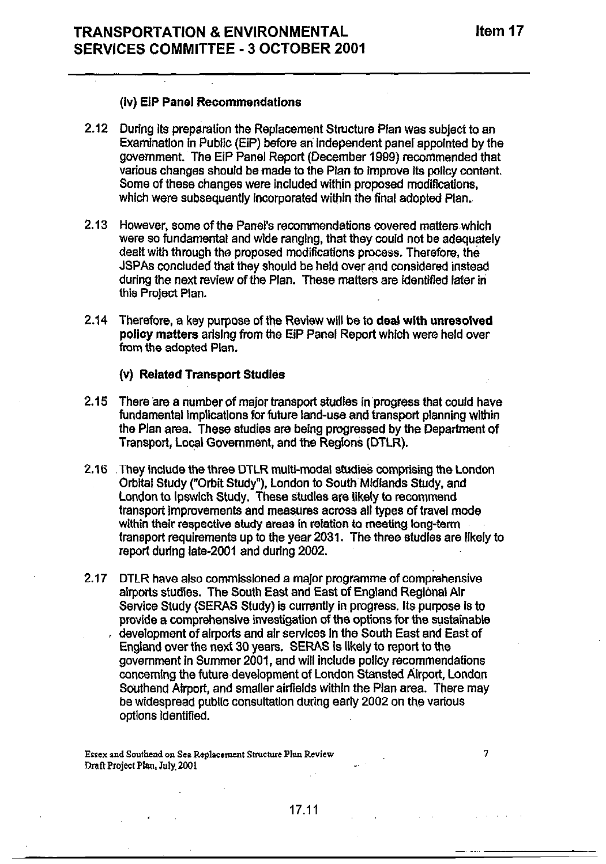### (Iv) EiP Panel Recommendations

- 2.12 During its preparation the Replacement Structure Plan was subject to an Examination in Public (EiP) before an independent panel appointed by the government. The EiP Panel Report (December 1999) recommended that various changes should be made to the Plan to Improve its policy content. Some of these changes were included within proposed modifications, which were subsequently incorporated within the final adopted Plan.
- 2.13 However, some of the Panel's recommendations covered matterswhtch were so fundamental and wide ranging, that they could not be adequately dealt with through the pmposed modifications pmcess. Therefore, the JSPAs concluded that they should be held over and constdered instead during the next review of the Plan. These matters are identitled later in this Project Plan.
- 2.14 Therefore, a key purpose of the Review will be to deal with unresolved policy matters arlslng from the EiP Panel Report which were held over from the adopted Plan.

### (v) Related Transport Studies

- 2.15 There are a number of major transport studies in progress that could have fundamental tmplications for future land-use and transport planning wlthin the Plan area. These studies are being progressed by the Department of Transport, Local Government, and the Regiona (DTLR).
- 2.16 They include the three DTLR multi-modal studies comprising the London Orbital Study ("Orbit Study"), London to South Midlands Study, and London to Ipswich Study. These studies are likely to recommend transport improvements and measures across all types of travel mode within their respective study areas in relation to meeting long-term transport requirements up to the year 2031. The three studies are likely to report during late-2001 and during 2002.
- 2.17 DTLR have also commissioned a major programme of comprehensive airports studies. The South East and East of England Regional Air Service Study (SERAS Study) is currently in progress. Its purpose Is to provide a comprehensive investigation of the options for the sustainable development of airports and alr servfces In the South East and East of England over the next 30 years. SERAS is likely to report to the government in Summer 2001, and will include policy recommendations concerning the future development of London Stansted Airport, London Southend Atrport, and smaller airfields within the Plan area. There may be wtdespread pubtic consultatton during eariy 2002 on the various options identified.

Essex and Southend on Sea Replacement Structure Plan Review 7 Draft Project Plan, July. 2001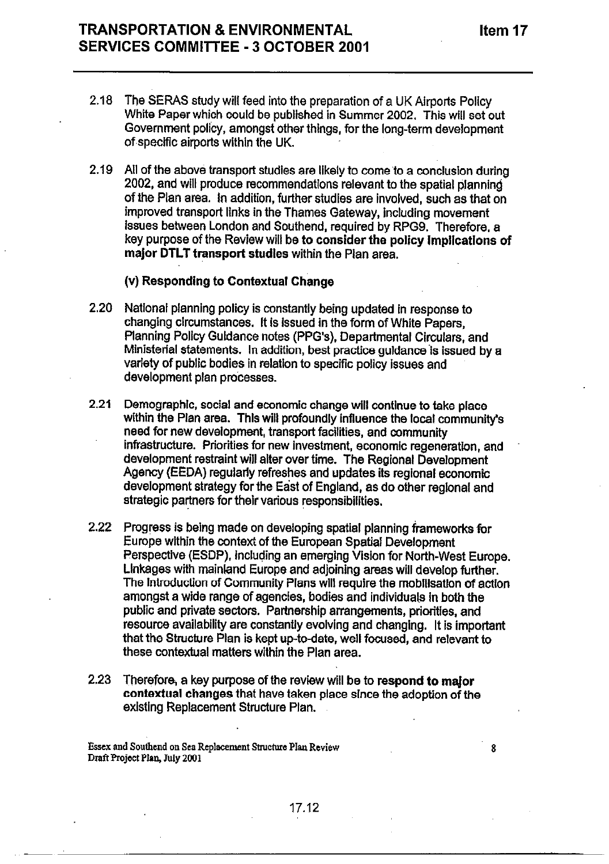8

# TRANSPORTATION & ENVIRONMENTAL SERVICES COMMITTEE - 3 OCTOBER 2001

- 2.18 The SERAS study will feed into the preparation of a UK Airports Policy White Paper which could be published in Summer 2002. This will set out Government policy, amongst other thlngs, for the long-term development of-speclflc airports within the UK.
- 2.19 All of the above transport studies are likely to cometo a conclusion during 2002, and will produce recommendations relevant to the spatial planning of the Plan area. In addition, further studies are involved, such as that on improved transport links in the Thames Gateway, including movement issues between London and Southend, required by RPGS. Therefore, a key purpose of the Review will be to consider the policy implications of major DTLT transport studies within the Plan area.

## (v) Responding to Contextual Change

- 2.20 Natlonal planning policy is constantly being updated in response to changing circumstances. It Is issued in the form of White Papers, Planning Policy Guidance notes (PPG's), Departmental Circulars, and Ministerial statements. In addition, best practice guldance is issued by a varlaty of public bodies in relation to specitic policy issues and development plan processes.
- 2.21 Demographlc, social and economic change will continue to take place within the Plan area. This will profoundly influence the local community's need for new developmeat, transport faciliiies, and community Infrastructure. Priorities for new investment, economic regeneration, and development restraint will alter over time. The Regional Development Agency (EEDA) regularly refreshes and updates its regional economic development strategy for the East of England, as do other regional and strategic partners for their various responsibilities.
- 2.22 Progress is being made on developing spatial plannlng frameworks for Europe within the context of the European Spatial Development Perspective (ESDP), including an emerging Vision for North-West Europe. Llnkages with mainland Europe and adjoining areas will develop further. The lntroductlon of Community Plans will require the mobilisatton of action amongst a wide range of agencies, bodies and individuals In both the public and private sectors. Partnership arrangements, priorftfes, and resource availability are constantly evolving and changing. It is important that the Structure Plan is kept up-to-date, well focused, and relevant to these contextual matters within the Plan area.
- 2.23 Therefore, a key purpose of the review will be to respond to major contextual changes that have taken place since the adoption of the existing Replacement Structure Plan.

Essex and Southend on Sea Replacement Structure Plan Review Draft Project Plan, July 2001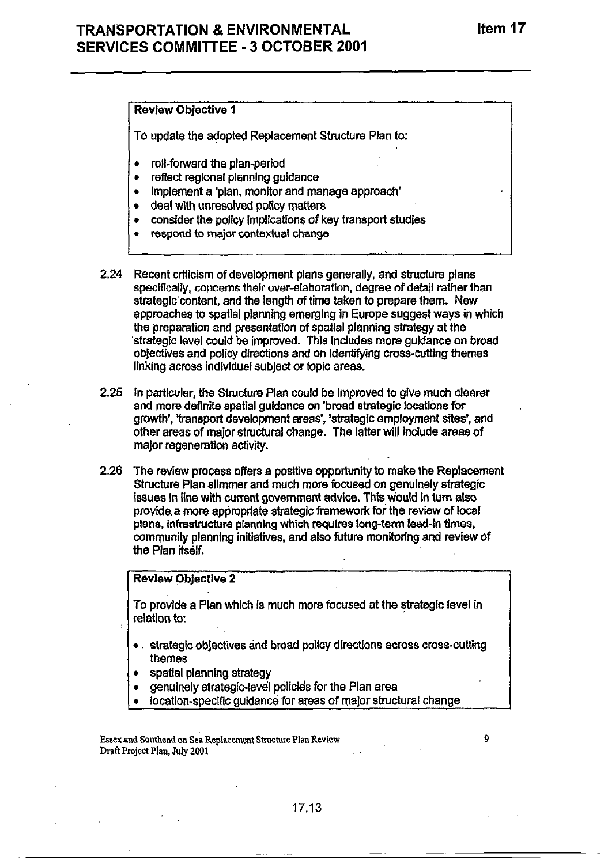Review Objective 1

To update the adopted Replacement Structure Plan to:

- roll-forward the plan-period
- reflect regional planning guidance
- implement a 'plan, monitor and manage approach'
- deal with unresolved policy matters
- consider the policy implications of key transport studies
- respond to major contextual change
- 2.24 Recent criticism of development plans generally, and structure plans specifically, concerns their over-elaboration, degree of detail rather than strategic content, and the length of time taken to prepare them. New approaches to spatial planning emerging In Europe suggest ways in which the preparation and presentation of spatial planning strategy at the strategic level could be improved. This includes more guidance on broad objectives and policy directions and on identifying cross-cutting themes linking across individual subject or topic areas.
- 2.25 In particular, the Structure Plan could be improved to give much clearer and more definite spatial guidance on 'broad strategic locations for growth', 'transport devebpment areas', 'strategfc employment sites', and other areas of major structural change. The latter will include areas of major regeneration activity.
- 2.26 The review process offers a posftive opportunity to make the Replacement Structure Plan slimmer and much more focused on genuinely strategic issues in line with current government advice. This would in turn also provide, a more appropriate strategic framework for the review of local plans, infrastructure planning which requires long-term lead-in times. community planning initiatives, and also future monitoring and review of the Plan itself.

#### Review Objective 2

To provide a Plan which is much more focused at the strategic level in relation to:

- <sup>l</sup>strategic objectives and broad policy dlrectfons across crosscutting themes
- spatial planning strategy
- genuinely strategic-level policies for the Plan area
- location-specific guidance for areas of major structural change

Essex and Southend on Sea Replacement Structure Plan Review Draft Project Plan, July 2001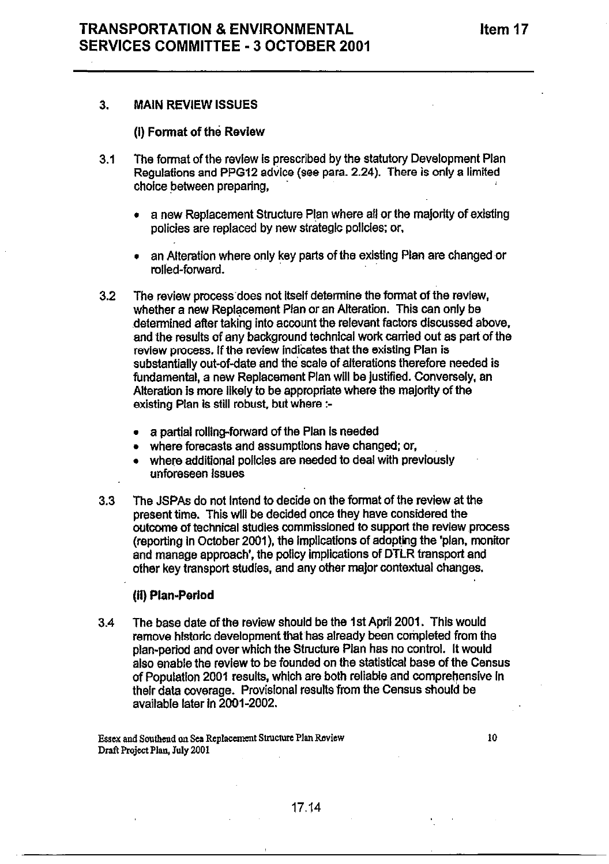#### 3. MAIN REVIEW ISSUES

#### (I) Format of the Review

- 3.1 The fonat of the review is prescribed by the statutory Development Plan Regulations and PPG12 advice (see para. 2.24). There is only a limited choice between preparing,
	- a new Replacement Structure Plan where all or the majority of existing policies are replaced by new strategic policies; or,
	- an Alteration where only key parts of the existing Plan are changed or rolled-forward.
- 3.2 The review process does not itself determine the format of the review, whether a new Replacement Plan or an Alteration. This can only be determined after taking into account the relevant factors discussed above, and the results of any background technical work carried out as part of the review process. If the review Indicates that the existing Plan is substantially out-of-date and the'scale of alterations therefore needed is fundamental, a new Replacement Plan will be justified. Conversely, an Alteration Is more likely to be appropriate where the majority of the existing Plan is still robust, but where :
	- a partial rolling-forward of the Plan is needed
	- where forecasts and assumptions have changed; or,
	- . where additional policies are needed to deal with previously unforeseen Issues
- 3.3 The JSPAs do not Intend to decide on the format of the review at the present time. This will be decided once they have considered the outcome of technical studies commissioned to support the review process (reporting in October 2001), the implications of adopting the 'plan, monitor and manage approach', the pollcy Implications of DTLR transport and other key transport studies, and any other major contextual changes.

#### (ii) Plan-Period

3.4 The base date of the review should be the 1st April 2001. This would remove historic development that has already been completed from the plan-period and over which the Structure Plan has no control. It would also enable the review to be founded on the statistioal base of the Census of Population 2001 results, which are both reliable and comprebenslve In their data coverage. Provislonal results from the Census should be available later In 2001-2002.

Essex and Southend on Sea Replacement Structure Plan Roview Draft Project Plan, July 2001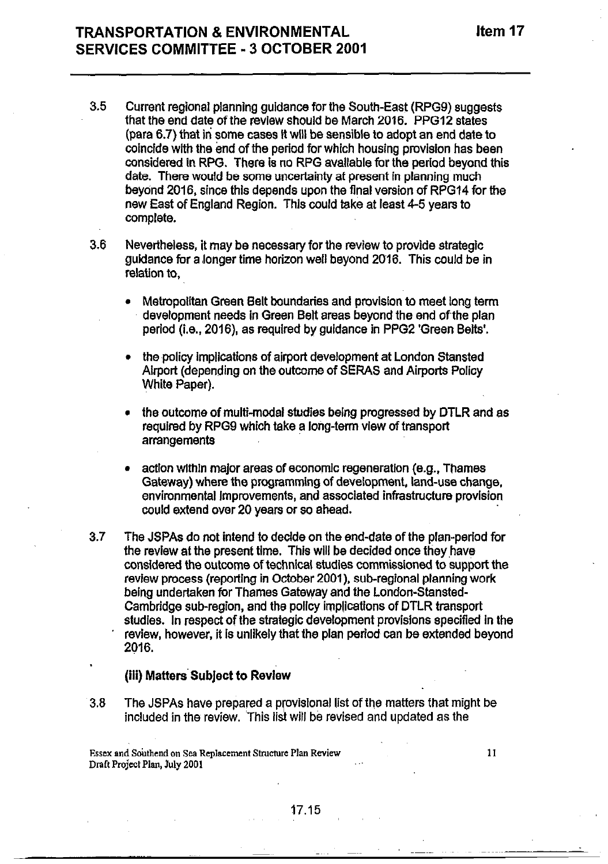- 3.5 Current regional planning guidance for the South-East (RPGg) suggests that the end date of the review should be March 2016. PPG12 states (para 6.7) that in some cases It will be sensible to adopt an end date to coincide with the end of the period for which housing provision has been considered tn RPG. There is no RPG avallable for the period beyond this date. There would be some uncertainty at present in planning much beyond 2016, sfnce this depends upon the flnal version of RPG14 for the new East of England Region. This could take at least 4-5 years to complete.
- 3.6 Nevertheless, it may be necessary for the review to provide strategic guidance for a longer time horizon well beyond 2016. This could be in relation to,
	- <sup>l</sup>Metropolitan Green Belt boundaries and provision to meet long term development needs in Green Belt areas beyond the end ofthe plan period (i.e., 2016), as required by guidance in PPG2 'Green Belts'.
	- the policy implications of airport development at London Stansted Alrport (depending on the outcome of SERAS and Airports Policy White Paper).
	- the outcome of multi-modal studies being progressed by DTLR and as required by RPGg which take a long-term vlew of transport arrangements
	- action within major areas of economic regeneration (e.g., Thames Gateway) where the programming of development, land-use change, environmental Improvements, and associated infrastructure provision could extend over 20 years or so ahead.
- 3.7 The JSPAs do not intend to decide on the end-date of the plan-period for the review at the present time. This will be decided once they have considered the outcome of technical studies commissioned to support the review process (reporting in October 2001), sub-regional planning work being undertaken for Thames Gateway and the London-Stansted-Cambridge sub-region, and the policy imp[lcatlons of DTLR transport studles. In respect of the strategic development provisions specified in the review, however, it is unlikely that the plan period can be extended beyond 2616.

### (iii) Matters' Subject to Revlew

3.8 The JSPAs have prepared a provisional list of the matters that might be included in the review. 'This list will be revised and updated as the

Essex and Southend on Sea Replacement Structure Plan Review 11 and 11 Draft Project Plan, July 2001 .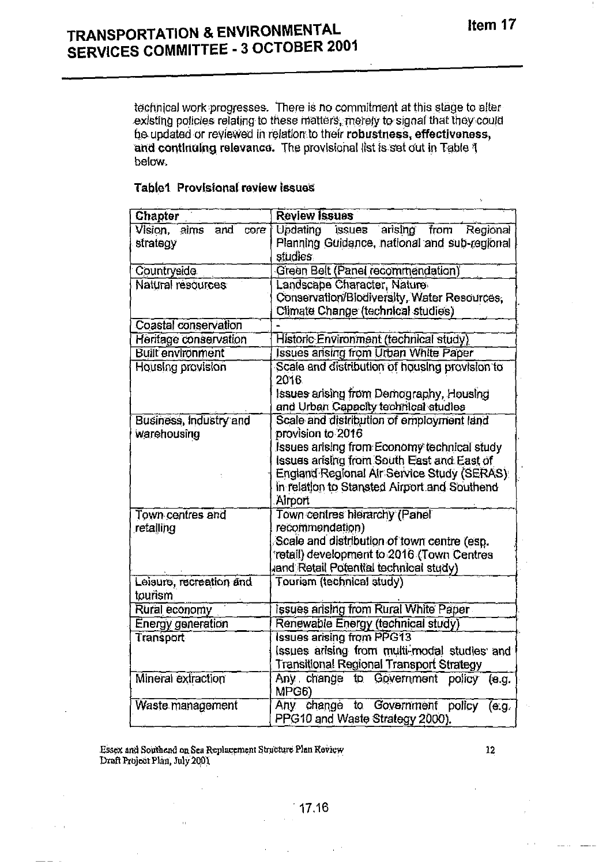technical work progresses. There is no commitment at this stage to alter<br>existing policies relating to these matters, merely to signal that they could the updated or reviewed in relation to their robustness, effectiveness, and continuing relevance. The provisional list is set out in Table 1 below.

## **Table1** Provisional review issues

| Chapter                                 | <b>Review Issues</b>                                                                                    |  |  |  |  |  |
|-----------------------------------------|---------------------------------------------------------------------------------------------------------|--|--|--|--|--|
| Vision, aims<br>and<br>core<br>strategy | Updating<br>issues arising from<br>Regional<br>Planning Guidance, national and sub-regional<br>studies. |  |  |  |  |  |
| Countryside                             | Green Belt (Panel recommendation)                                                                       |  |  |  |  |  |
| Natural resources                       | Landscape Character, Nature                                                                             |  |  |  |  |  |
|                                         | Conservation/Biodiversity, Water Resources,<br>Climate Change (technical studies)                       |  |  |  |  |  |
| Coastal conservation                    |                                                                                                         |  |  |  |  |  |
| Heritage conservation                   | Historic Environment (technical study)                                                                  |  |  |  |  |  |
| <b>Built environment</b>                | <b>Issues ansing from Urban White Paper</b>                                                             |  |  |  |  |  |
| Housing provision                       | Scale and distribution of housing provision to<br>2016                                                  |  |  |  |  |  |
|                                         | Issues arising from Demography, Housing<br>and Urban Capacity technical studies                         |  |  |  |  |  |
| Business, Industry and<br>warehousing   | Scale and distribution of employment land<br>provision to 2016                                          |  |  |  |  |  |
|                                         | Issues arising from Economy technical study                                                             |  |  |  |  |  |
|                                         | Issues arising from South East and East of                                                              |  |  |  |  |  |
|                                         | England Regional Air Service Study (SERAS)                                                              |  |  |  |  |  |
|                                         | in relation to Stansted Airport and Southend<br>Airport                                                 |  |  |  |  |  |
| Town centres and                        | Town centres hierarchy (Panel                                                                           |  |  |  |  |  |
| retailing                               | recommendation)                                                                                         |  |  |  |  |  |
|                                         | Scale and distribution of town centre (esp.                                                             |  |  |  |  |  |
|                                         | retail) development to 2016 (Town Centres                                                               |  |  |  |  |  |
|                                         | and Retail Potential technical study)                                                                   |  |  |  |  |  |
| Leisure, recreation and<br>tourism      | Tourism (technical study)                                                                               |  |  |  |  |  |
| Rural economy                           | Issues arising from Rural White Paper                                                                   |  |  |  |  |  |
| <b>Energy generation</b>                | Renewable Energy (technical study)                                                                      |  |  |  |  |  |
| <b>Transport</b>                        | <b>Issues arising from PPG13</b>                                                                        |  |  |  |  |  |
|                                         | Issues arising from multi-modal studies and                                                             |  |  |  |  |  |
|                                         | Transitional Regional Transport Strategy                                                                |  |  |  |  |  |
| Mineral extraction                      | Any change to Government policy<br>(e.g.<br>MPG <sub>6</sub>                                            |  |  |  |  |  |
| Waste management                        | to Government policy<br>Any change<br>(e.g.<br>PPG10 and Waste Strategy 2000).                          |  |  |  |  |  |

Essex and Southend on Sea Replacement Structure Plan Roview Draft Project Plan, July 2001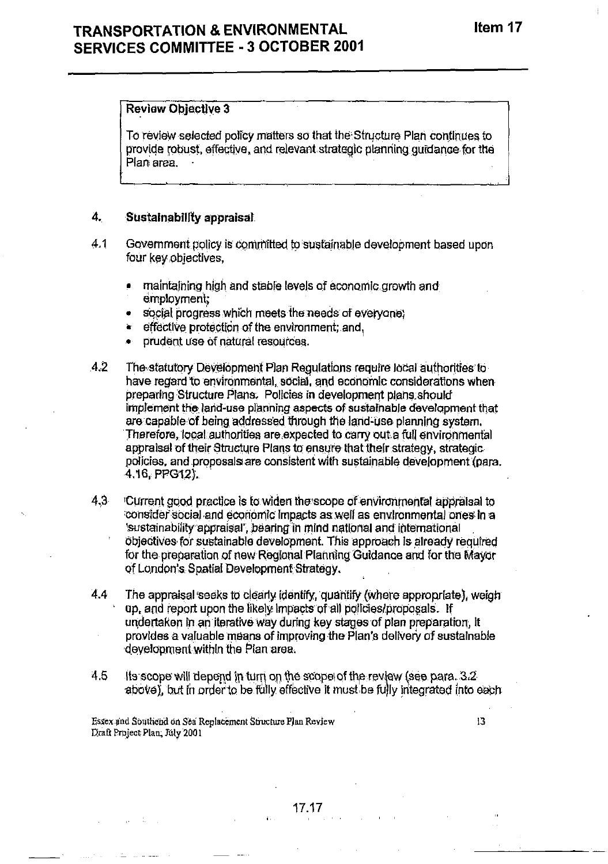$13<sup>13</sup>$ 

## **Review Objective 3**

To review selected policy matters so that the Structure Plan continues to provide robust, effective, and relevant strategic planning guidance for the Plan area.

#### 4. **Sustainability appraisal**

- $4.1$ Government policy is committed to sustainable development based upon four key objectives.
	- maintaining high and stable levels of economic growth and  $\bullet$ employment:
	- social progress which meets the needs of everyone;  $\bullet$
	- effective protection of the environment; and, a.
	- prudent use of natural resources.
- $4.2$ The statutory Development Plan Regulations require local authorities to have regard to environmental, social, and economic considerations when preparing Structure Plans. Policies in development plans should implement the land-use planning aspects of sustainable development that are capable of being addressed through the land-use planning system. Therefore, local authorities are expected to carry out a full environmental appraisal of their Structure Plans to ensure that their strategy, strategic policies, and proposals are consistent with sustainable development (para. 4.16. PPG12).
- 4.3 Current good practice is to widen the scope of environmental appraisal to consider social and economic impacts as well as environmental ones in a 'sustainability appraisal', bearing in mind national and international objectives for sustainable development. This approach is already required for the preparation of new Regional Planning Guidance and for the Mayor of London's Spatial Development Strategy.
- 4.4 The appraisal seeks to clearly identify, quantify (where appropriate), weigh up, and report upon the likely impacts of all policies/proposals. If undertaken in an iterative way during key stages of plan preparation, it provides a valuable means of improving the Plan's delivery of sustainable development within the Plan area.
- 4.5 Its scope will depend in turn on the scope of the review (see para. 3.2 above), but in order to be fully effective it must be fully integrated into each

Essex and Southend on Sea Replacement Structure Plan Review Draft Project Plan, July 2001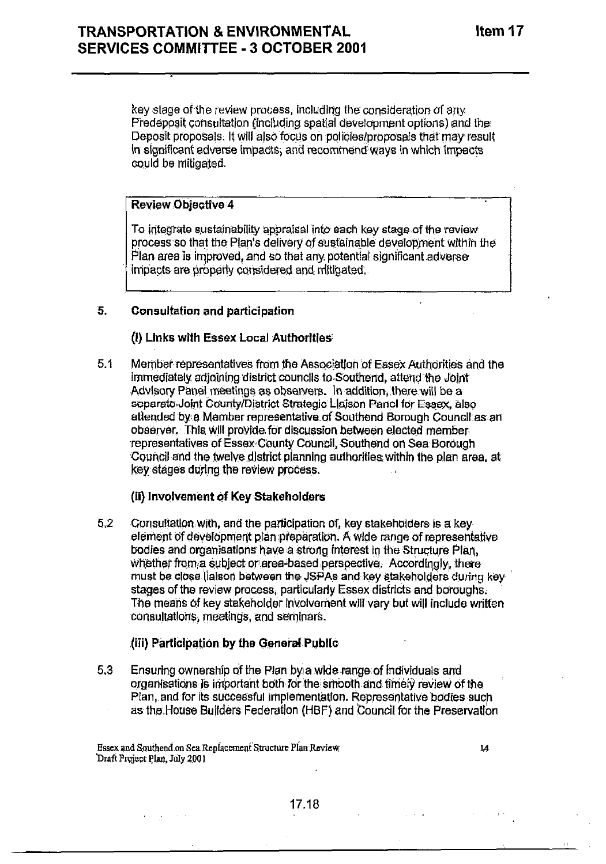key stage of the review process, including the consideration of any Predeposit consultation (including spatial development options) and the Deposit proposals. It will also focus on policies/proposals that may result In significant adverse impacts, and recommend ways in which impacts could be mitigated.

## Review Objective 4

To integrate sustainability appraisal into each key stage of the review process so that the Plan's delivery of sustainable development within the Plan area is improved, and so that any potential significant adverse impacts are properly considered and mitigated.

#### 5. **Consultation and participation**

## (i) Links with Essex Local Authorities

5.1 Member representatives from the Association of Easex Authorities and the immediately adioining district councils to Southend, attend the Joint Advisory Panel meetings as observers. In addition, there will be a separate Joint County/District Strategic Liaison Panel for Essex, also attended by a Member representative of Southend Borough Council as an observer. This will provide for discussion between elected member representatives of Essex County Council. Southend on Sea Borough Council and the twelve district planning authorities within the plan area, at key stages during the review process.

### (ii) Involvement of Key Stakeholders

 $5,2$ Consultation with, and the participation of, key stakeholders is a keyelement of development plan preparation. A wide range of representative bodies and organisations have a strong interest in the Structure Plan, whether from a subject or grea-based perspective. Accordingly, there must be close liaison between the JSPAs and key stakeholders during key stages of the review process, particularly Essex districts and boroughs. The means of key stakeholder involvement will vary but will include written consultations, meetings, and seminars.

### (iii) Participation by the General Public

 $5.3$ Ensuring ownership of the Plan by a wide range of individuals and organisations is important both for the smooth and timely review of the Plan, and for its successful implementation. Representative bodies such as the House Builders Federation (HBF) and Council for the Preservation

Essex and Southend on Sea Replacement Structure Plan Review Draft Project Plan, July 2001

 $\mathbf{e}_{\mathcal{A}} = \mathbf{e}_{\mathcal{A}}$  , where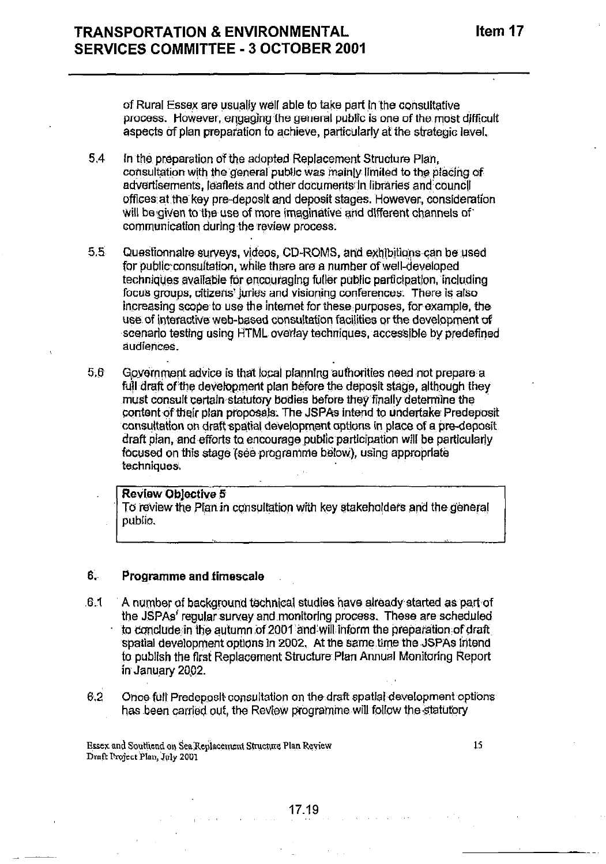of Rural Essex are usually well able to take part in the consultative process. However, engaging the general public is one of the most difficult aspects of plan preparation to achieve, particularly at the strategic level.

- 5.4 In the preparation of the adopted Replacement Structure Plan, consultation with the general public was mainly limited to the placing of advertisements, leaflets and other documents in libraries and council offices at the key pre-deposit and deposit stages. However, consideration will be given to the use of more imaginative and different channels of communication during the review process.
- $5.5<sub>1</sub>$ Questionnaire surveys, videos, CD-ROMS, and exhibitions can be used for public consultation, while there are a number of well-developed techniques available for encouraging fuller public participation, including focus groups, citizens' juries and visioning conferences. There is also increasing scope to use the internet for these purposes, for example, the use of interactive web-based consultation facilities or the development of scenario testing using HTML overlay techniques, accessible by predefined audiences
- $5.6$ Government advice is that local planning authorities need not prepare a full draft of the development plan before the deposit stage, although they must consult certain statutory bodies before they finally determine the content of their plan proposals. The JSPAs intend to undertake Predeposit consultation on draft spatial development options in place of a pre-deposit. draft plan, and efforts to encourage public participation will be particularly focused on this stage (see programme below), using appropriate techniques.

# Review Oblective 5

To review the Plan in consultation with key stakeholders and the general public.

#### $6 -$ Programme and fimescale

- $6.1$ A number of background technical studies have already started as part of the JSPAs' requiar survey and monitoring process. These are scheduled to conclude in the autumn of 2001 and will inform the preparation of draft spatial development options in 2002. At the same time the JSPAs intend to publish the first Replacement Structure Plan Annual Monitoring Report in January 2002.
- $6.2$ Once full Predeposit consultation on the draft spatial development options has been carried out, the Review programme will follow the statutory

Essex and Soutliend on Sea Replacement Structure Plan Review Draft Project Plan, July 2001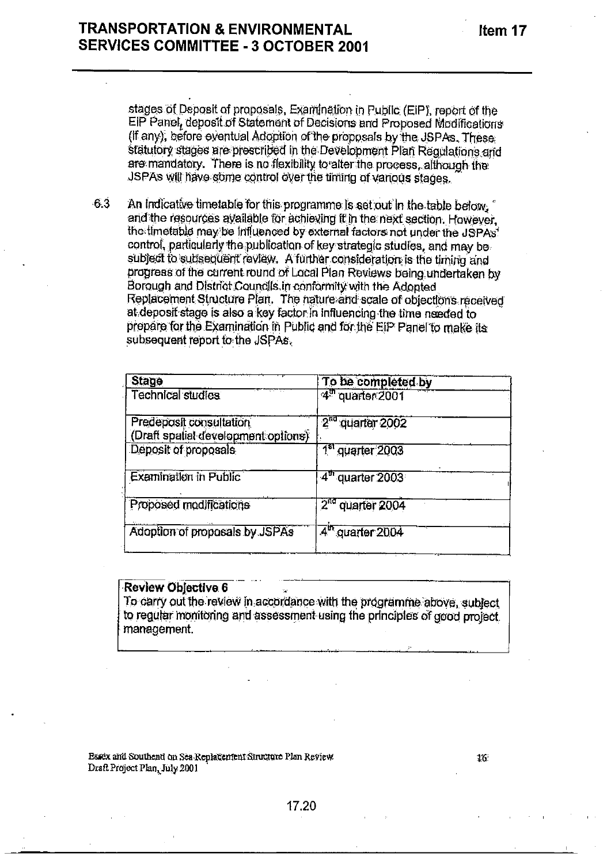stages of Deposit of proposals, Examination in Public (EIP), report of the EIP Panel, deposit of Statement of Decisions and Proposed Modifications (if any), before eventual Adoption of the proposals by the JSPAs. These statutory stages are prescribed in the Development Plan Regulations and are mandatory. There is no flexibility to alter the process, although the JSPAs will have some control over the timing of various stages.

 $63$ An indicative timetable for this programme is set out in the table below. and the resources available for achieving it in the next section. However, the timetable may be influenced by external factors not under the JSPAs' control, particularly the publication of key strategic studies, and may be subject to subsequent review. A further consideration is the timing and progress of the current round of Local Plan Reviews being undertaken by Borough and District Councils in conformity with the Adopted Replacement Structure Plan. The nature and scale of objections received at deposit stage is also a key factor in influencing the time needed to prepare for the Examination in Public and for the EIP Panel to make its subsequent report to the JSPAs.

| Stage                                                          | To be completed by           |  |  |  |  |
|----------------------------------------------------------------|------------------------------|--|--|--|--|
| Technical studies                                              | 4 <sup>th</sup> quarter 2001 |  |  |  |  |
| Predeposit consultation<br>(Draft spatial development options) | 2 <sup>nd</sup> quarter 2002 |  |  |  |  |
| Deposit of proposals                                           | 1 <sup>st</sup> quarter 2003 |  |  |  |  |
| <b>Examination in Public</b>                                   | $4m$ quarter 2003            |  |  |  |  |
| Proposed modifications                                         | 2 <sup>nd</sup> quarter 2004 |  |  |  |  |
| Adoption of proposals by JSPAs                                 | $4m$ quarter 2004            |  |  |  |  |
|                                                                |                              |  |  |  |  |

### Review Objective 6

To carry out the review in accordance with the programme above, subject to regular monitoring and assessment using the principles of good project. management.

Essex and Southend on Sea Replacement Structure Plan Review. Draft Project Plan, July 2001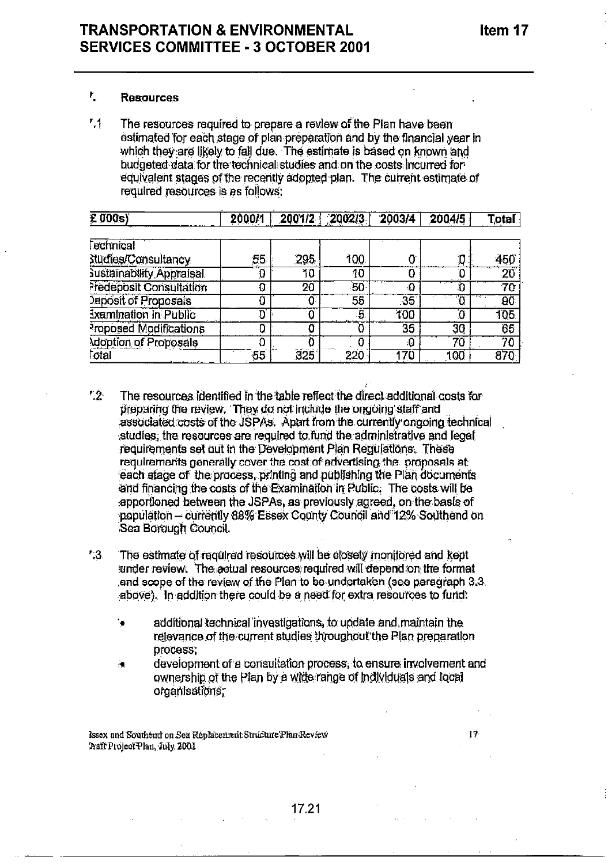#### $\mathbf{r}_\perp$ **Resources**

 $7.1$ The resources required to prepare a review of the Plan have been estimated for each stage of plan preparation and by the financial year in which they are likely to fall due. The estimate is based on known and budgeted data for the technical studies and on the costs incurred for equivalent stages of the recently adopted plan. The current estimate of required resources is as follows:

| $E$ 000s)                  | 2000/1         | 2001/2          | 2002/3 | 2003/4    | 2004/5   | Total           |
|----------------------------|----------------|-----------------|--------|-----------|----------|-----------------|
| <b>Fechnical</b>           |                |                 |        |           |          |                 |
| <b>Studies/Consultancy</b> | 55,            | 295             | 100    |           | O        | 450             |
| Sustainability Appraisal   | 0              | 10              | 40     | n         | 0        | $20^{\circ}$    |
| Predeposit Consultation    | $\overline{0}$ | $\overline{20}$ | $-50$  | ٥         | ัง       | $\overline{70}$ |
| Jeposit of Proposals       |                | Ő               | 55     | 35        | $\sigma$ | $\overline{50}$ |
| Examination in Public      |                |                 | 5      | 100       | Ö        | 10 <sub>5</sub> |
| Proposed Modifications     | 0              | 0               |        | 35        | 30       | 65              |
| Adoption of Proposals      |                |                 |        | $\cdot 0$ | 70       | $\overline{70}$ |
| $\sqrt{5}$                 | 55             | 325             | 220    | 170       | 100      | 870             |

- rģ. The resources identified in the table reflect the direct additional costs for preparing the review. They do not include the ongoing staff and associated costs of the JSPAs. Apart from the currently ongoing technical studies, the resources are required to fund the administrative and legal requirements set out in the Development Plan Requisitions. These requirements generally cover the cost of advertising the proposals at each stage of the process, printing and publishing the Pian documents and financing the costs of the Examination in Public. The costs will be apportioned between the JSPAs, as previously agreed, on the basis of population - currently 88% Essex County Council and 12% Southend on Sea Boraugh Council.
- $"3"$ The estimate of required resources will be closely monitored and kept lunder review. The actual resources required will depend on the format and scope of the review of the Plan to be undertaken (see paragraph 3.3. above). In addition there could be a need for extra resources to fund:
	- additional technical investigations, to update and maintain the ۰. relevance of the current studies throughout the Plan preparation process:
	- development of a consultation process, to ensure involvement and ۰ ownership of the Plan by a wide range of individuals and local organisations;

Issex and Southend on Sea Replacement Structure Plan Review Iraft Project Plan, July 2001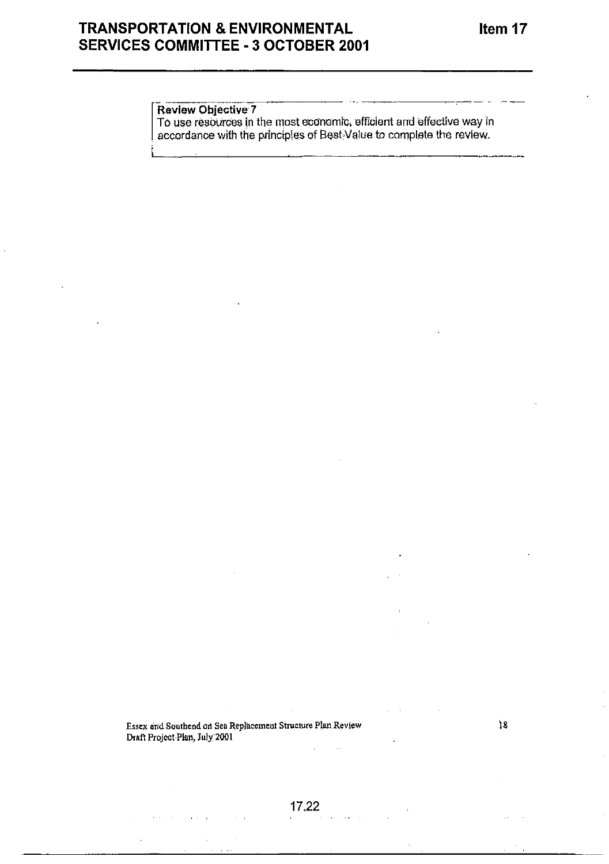Review Objective 7<br>To use resources in the most economic, efficient and effective way in<br>accordance with the principles of Best Value to complete the review.

Essex and Southend on Sea Replacement Structure Plan Review Draft Project Plan, July 2001

 $\ddot{\phantom{a}}$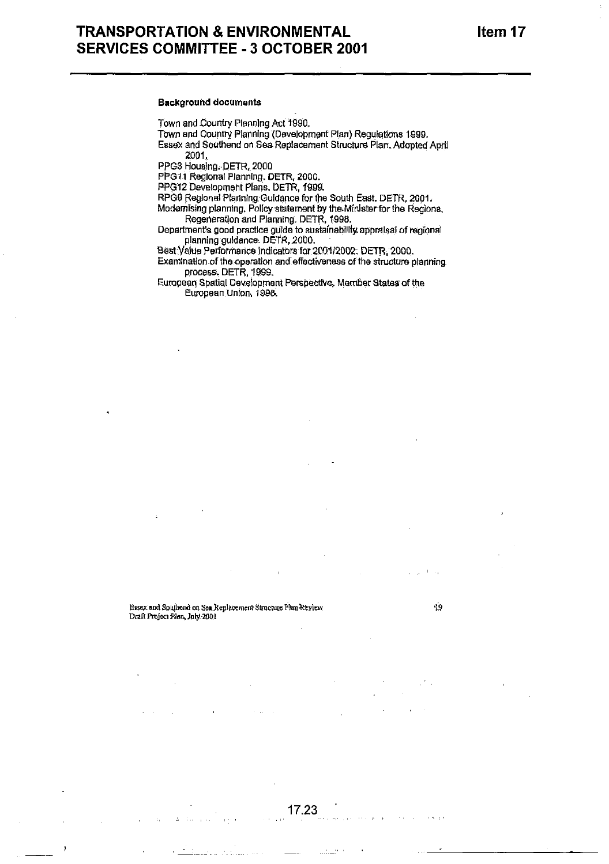#### **Background documents**

Town and Country Planning Act 1990.

Town and Country Planning (Development Plan) Regulations 1999.

Essex and Southend on Sea Replacement Structure Plan, Adopted April 2001.

PPG3 Housing. DETR, 2000

PPG11 Regional Planning, DETR, 2000.

PPG12 Development Plans, DETR, 1999.

RPG9 Regional Planning Guidance for the South East, DETR, 2001.

Modernising planning, Policy statement by the Minister for the Regions, Regeneration and Planning. DETR, 1998.<br>Department's good practice guide to sustainability appraisal of regional

planning guldance. DETR, 2000.

Best Value Performance Indicators for 2001/2002, DETR, 2000.

Examination of the operation and effectiveness of the structure planning. process. DETR, 1999.

European Spatial Development Perspective, Marriber States of the European Union, 1998.

#### Bisex and Southend on Sea Replacement Structure Plan Review Draft Project Plan, July 2001

Ý9

17.23